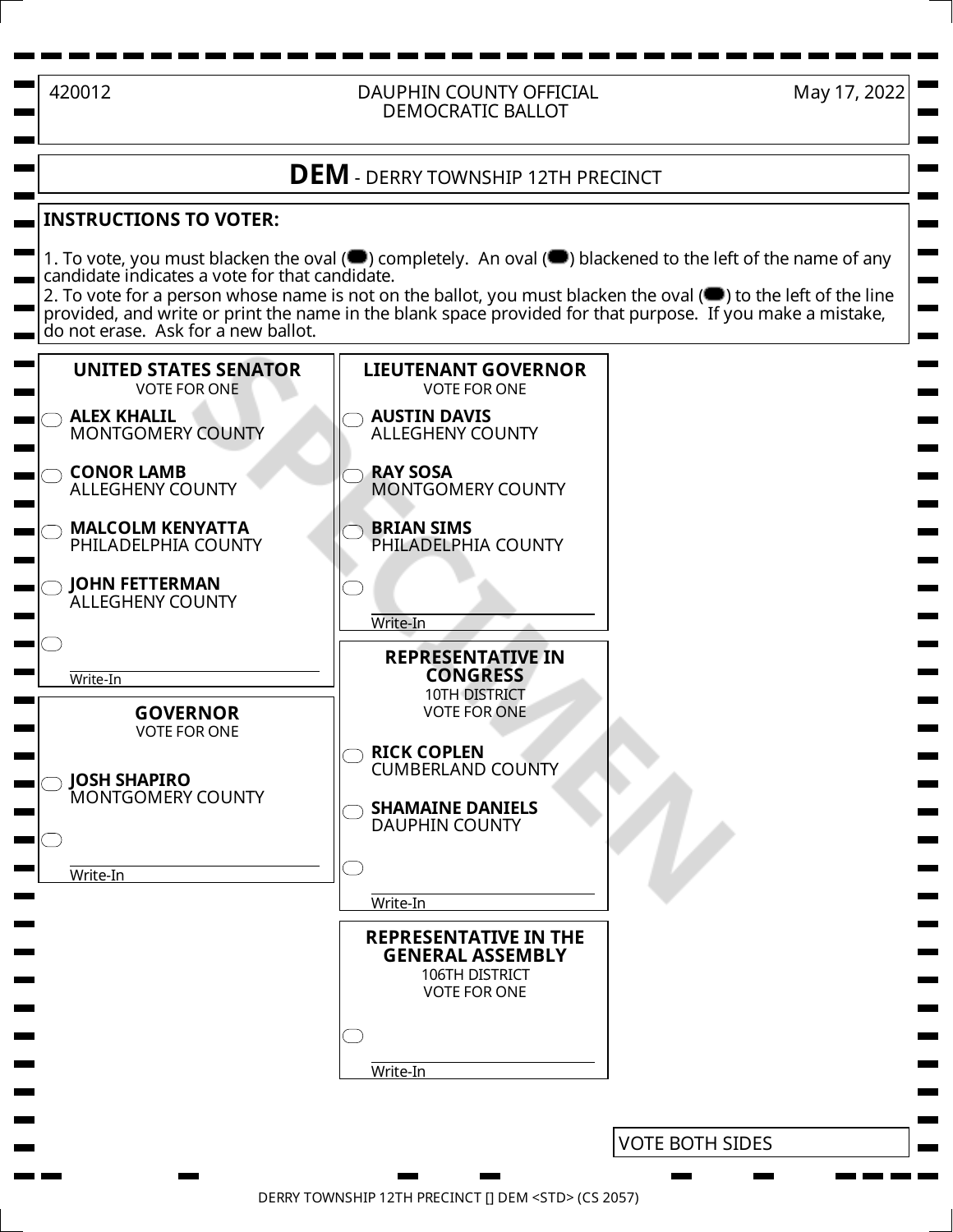## 420012 DAUPHIN COUNTY OFFICIAL DEMOCRATIC BALLOT

May 17, 2022

## **DEM** - DERRY TOWNSHIP 12TH PRECINCT

## **INSTRUCTIONS TO VOTER:**

1. To vote, you must blacken the oval ( $\blacksquare$ ) completely. An oval ( $\blacksquare$ ) blackened to the left of the name of any candidate indicates a vote for that candidate.

2. To vote for a person whose name is not on the ballot, you must blacken the oval  $(\bullet)$  to the left of the line provided, and write or print the name in the blank space provided for that purpose. If you make a mistake, do not erase. Ask for a new ballot.



VOTE BOTH SIDES